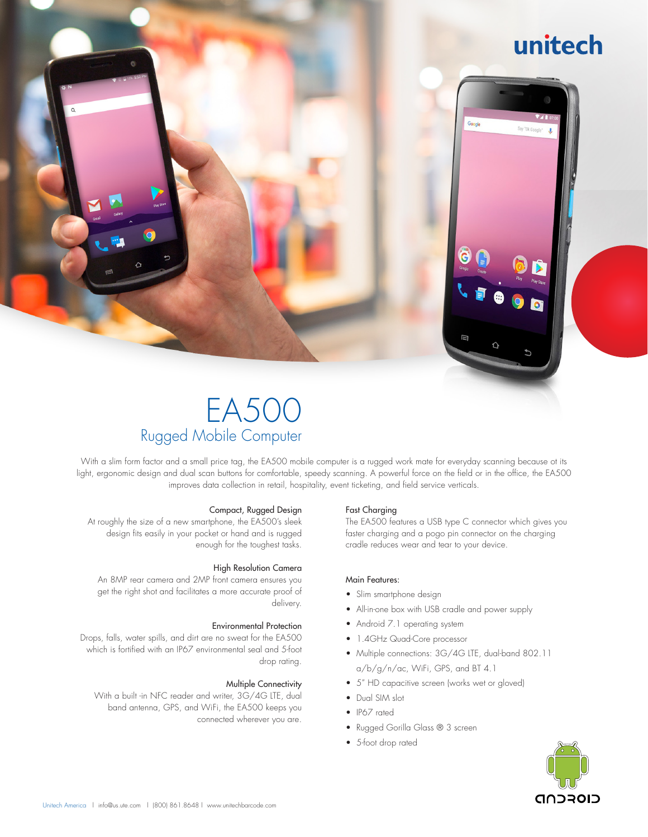## unitech

## EA500 Rugged Mobile Computer

With a slim form factor and a small price tag, the EA500 mobile computer is a rugged work mate for everyday scanning because ot its light, ergonomic design and dual scan buttons for comfortable, speedy scanning. A powerful force on the field or in the office, the EA500 improves data collection in retail, hospitality, event ticketing, and field service verticals.

#### Compact, Rugged Design

At roughly the size of a new smartphone, the EA500's sleek design fits easily in your pocket or hand and is rugged enough for the toughest tasks.

#### High Resolution Camera

An 8MP rear camera and 2MP front camera ensures you get the right shot and facilitates a more accurate proof of delivery.

#### Environmental Protection

Drops, falls, water spills, and dirt are no sweat for the EA500 which is fortified with an IP67 environmental seal and 5-foot drop rating.

#### Multiple Connectivity

With a built -in NFC reader and writer, 3G/4G LTE, dual band antenna, GPS, and WiFi, the EA500 keeps you connected wherever you are.

#### Fast Charging

The EA500 features a USB type C connector which gives you faster charging and a pogo pin connector on the charging cradle reduces wear and tear to your device.

Googl

#### Main Features:

- Slim smartphone design
- All-in-one box with USB cradle and power supply
- Android 7.1 operating system
- 1.4GHz Quad-Core processor
- Multiple connections: 3G/4G LTE, dual-band 802.11 a/b/g/n/ac, WiFi, GPS, and BT 4.1
- 5" HD capacitive screen (works wet or gloved)
- Dual SIM slot
- IP67 rated
- Rugged Gorilla Glass ® 3 screen
- 5-foot drop rated